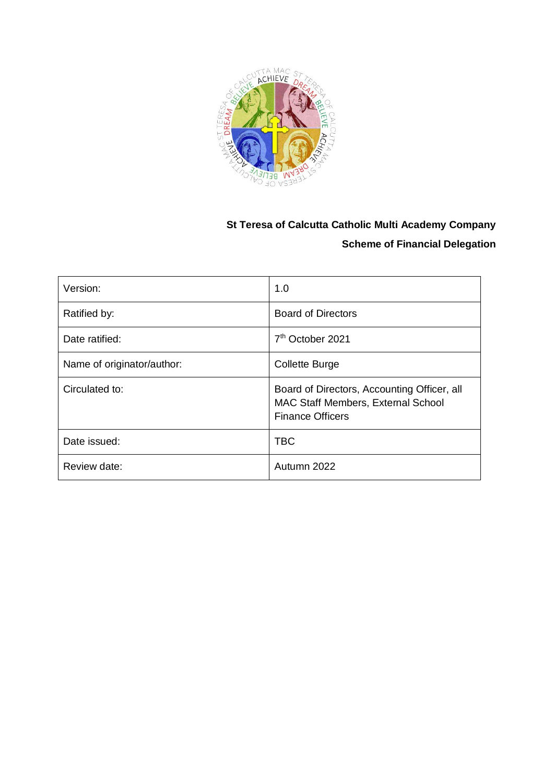

## **St Teresa of Calcutta Catholic Multi Academy Company Scheme of Financial Delegation**

| Version:                   | 1.0                                                                                                          |
|----------------------------|--------------------------------------------------------------------------------------------------------------|
| Ratified by:               | <b>Board of Directors</b>                                                                                    |
| Date ratified:             | 7 <sup>th</sup> October 2021                                                                                 |
| Name of originator/author: | <b>Collette Burge</b>                                                                                        |
| Circulated to:             | Board of Directors, Accounting Officer, all<br>MAC Staff Members, External School<br><b>Finance Officers</b> |
| Date issued:               | <b>TBC</b>                                                                                                   |
| Review date:               | Autumn 2022                                                                                                  |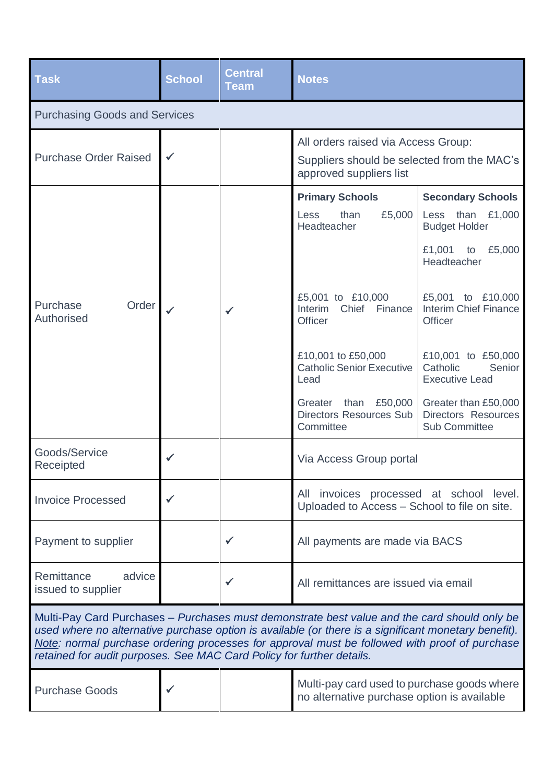| <b>Task</b>                                                                                                                                                                                                                                                                                                                                                                    | <b>School</b> | <b>Central</b><br><b>Team</b> | <b>Notes</b>                                                                                                  |                                                                                                               |
|--------------------------------------------------------------------------------------------------------------------------------------------------------------------------------------------------------------------------------------------------------------------------------------------------------------------------------------------------------------------------------|---------------|-------------------------------|---------------------------------------------------------------------------------------------------------------|---------------------------------------------------------------------------------------------------------------|
| <b>Purchasing Goods and Services</b>                                                                                                                                                                                                                                                                                                                                           |               |                               |                                                                                                               |                                                                                                               |
| <b>Purchase Order Raised</b>                                                                                                                                                                                                                                                                                                                                                   | $\checkmark$  |                               | All orders raised via Access Group:<br>Suppliers should be selected from the MAC's<br>approved suppliers list |                                                                                                               |
|                                                                                                                                                                                                                                                                                                                                                                                |               |                               | <b>Primary Schools</b><br>£5,000<br>than<br>Less<br><b>Headteacher</b>                                        | <b>Secondary Schools</b><br>Less than £1,000<br><b>Budget Holder</b><br>£1,001<br>£5,000<br>to<br>Headteacher |
| Order<br>Purchase<br>Authorised                                                                                                                                                                                                                                                                                                                                                |               | ✓                             | £5,001 to £10,000<br>Interim Chief<br>Finance<br><b>Officer</b>                                               | £5,001 to £10,000<br>Interim Chief Finance<br><b>Officer</b>                                                  |
|                                                                                                                                                                                                                                                                                                                                                                                |               |                               | £10,001 to £50,000<br><b>Catholic Senior Executive</b><br>Lead                                                | £10,001 to £50,000<br>Catholic<br>Senior<br><b>Executive Lead</b>                                             |
|                                                                                                                                                                                                                                                                                                                                                                                |               |                               | Greater than £50,000<br><b>Directors Resources Sub</b><br>Committee                                           | Greater than £50,000<br>Directors Resources<br><b>Sub Committee</b>                                           |
| Goods/Service<br>Receipted                                                                                                                                                                                                                                                                                                                                                     |               |                               | Via Access Group portal                                                                                       |                                                                                                               |
| <b>Invoice Processed</b>                                                                                                                                                                                                                                                                                                                                                       |               |                               | All invoices processed at school level.<br>Uploaded to Access - School to file on site.                       |                                                                                                               |
| Payment to supplier                                                                                                                                                                                                                                                                                                                                                            |               | ✓                             | All payments are made via BACS                                                                                |                                                                                                               |
| Remittance<br>advice<br>issued to supplier                                                                                                                                                                                                                                                                                                                                     |               |                               | All remittances are issued via email                                                                          |                                                                                                               |
| Multi-Pay Card Purchases – Purchases must demonstrate best value and the card should only be<br>used where no alternative purchase option is available (or there is a significant monetary benefit).<br>Note: normal purchase ordering processes for approval must be followed with proof of purchase<br>retained for audit purposes. See MAC Card Policy for further details. |               |                               |                                                                                                               |                                                                                                               |
| <b>Purchase Goods</b>                                                                                                                                                                                                                                                                                                                                                          |               |                               | Multi-pay card used to purchase goods where<br>no alternative purchase option is available                    |                                                                                                               |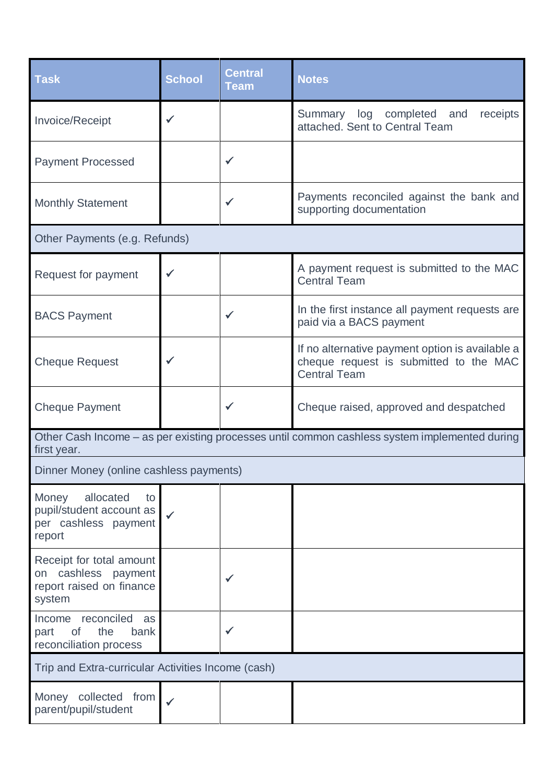| <b>Task</b>                                                                                                  | <b>School</b> | <b>Central</b><br><b>Team</b> | <b>Notes</b>                                                                                                     |
|--------------------------------------------------------------------------------------------------------------|---------------|-------------------------------|------------------------------------------------------------------------------------------------------------------|
| Invoice/Receipt                                                                                              | ✓             |                               | Summary log completed and<br>receipts<br>attached. Sent to Central Team                                          |
| <b>Payment Processed</b>                                                                                     |               |                               |                                                                                                                  |
| <b>Monthly Statement</b>                                                                                     |               |                               | Payments reconciled against the bank and<br>supporting documentation                                             |
| Other Payments (e.g. Refunds)                                                                                |               |                               |                                                                                                                  |
| Request for payment                                                                                          | ✓             |                               | A payment request is submitted to the MAC<br><b>Central Team</b>                                                 |
| <b>BACS Payment</b>                                                                                          |               |                               | In the first instance all payment requests are<br>paid via a BACS payment                                        |
| <b>Cheque Request</b>                                                                                        |               |                               | If no alternative payment option is available a<br>cheque request is submitted to the MAC<br><b>Central Team</b> |
| <b>Cheque Payment</b>                                                                                        |               |                               | Cheque raised, approved and despatched                                                                           |
| Other Cash Income – as per existing processes until common cashless system implemented during<br>first year. |               |                               |                                                                                                                  |
| Dinner Money (online cashless payments)                                                                      |               |                               |                                                                                                                  |
| Money<br>allocated<br>to<br>pupil/student account as<br>per cashless payment<br>report                       |               |                               |                                                                                                                  |
| Receipt for total amount<br>on cashless payment<br>report raised on finance<br>system                        |               |                               |                                                                                                                  |
| Income reconciled<br>as<br>the<br>of<br>bank<br>part<br>reconciliation process                               |               |                               |                                                                                                                  |
| Trip and Extra-curricular Activities Income (cash)                                                           |               |                               |                                                                                                                  |
| Money collected from<br>parent/pupil/student                                                                 |               |                               |                                                                                                                  |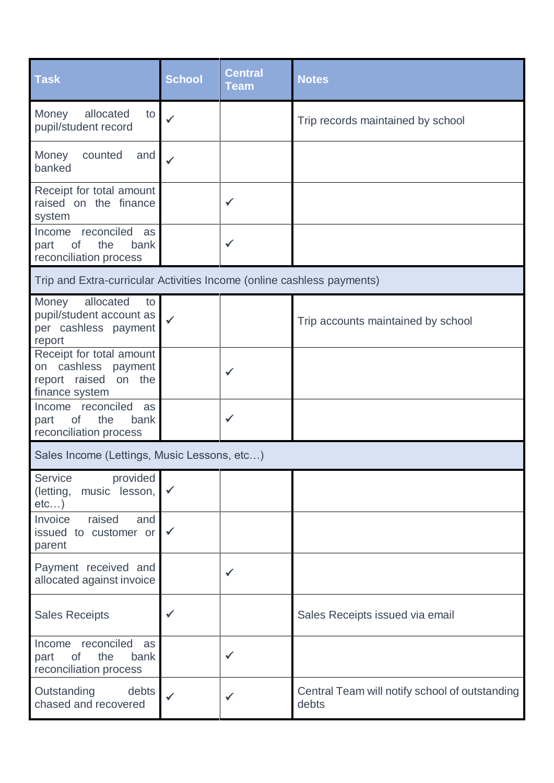| <b>Task</b>                                                                                  | <b>School</b> | <b>Central</b><br><b>Team</b> | <b>Notes</b>                                            |
|----------------------------------------------------------------------------------------------|---------------|-------------------------------|---------------------------------------------------------|
| allocated<br>Money<br>to<br>pupil/student record                                             | $\checkmark$  |                               | Trip records maintained by school                       |
| Money<br>counted<br>and<br>banked                                                            | ✓             |                               |                                                         |
| Receipt for total amount<br>raised on the finance<br>system                                  |               | $\checkmark$                  |                                                         |
| Income reconciled<br>as<br>the<br>of<br>bank<br>part<br>reconciliation process               |               | $\checkmark$                  |                                                         |
| Trip and Extra-curricular Activities Income (online cashless payments)                       |               |                               |                                                         |
| allocated<br>Money<br>to<br>pupil/student account as<br>per cashless payment<br>report       | ✓             |                               | Trip accounts maintained by school                      |
| Receipt for total amount<br>cashless payment<br>on<br>report raised on the<br>finance system |               | $\checkmark$                  |                                                         |
| Income reconciled as<br>the<br>of<br>bank<br>part<br>reconciliation process                  |               | $\checkmark$                  |                                                         |
| Sales Income (Lettings, Music Lessons, etc)                                                  |               |                               |                                                         |
| <b>Service</b><br>provided<br>(letting,<br>music lesson,<br>etc)                             |               |                               |                                                         |
| raised<br>Invoice<br>and<br>issued to customer or<br>parent                                  | $\checkmark$  |                               |                                                         |
| Payment received and<br>allocated against invoice                                            |               | ✓                             |                                                         |
| <b>Sales Receipts</b>                                                                        |               |                               | Sales Receipts issued via email                         |
| reconciled<br>Income<br>as<br>part<br>of<br>the<br>bank<br>reconciliation process            |               | $\checkmark$                  |                                                         |
| Outstanding<br>debts<br>chased and recovered                                                 | $\checkmark$  | $\checkmark$                  | Central Team will notify school of outstanding<br>debts |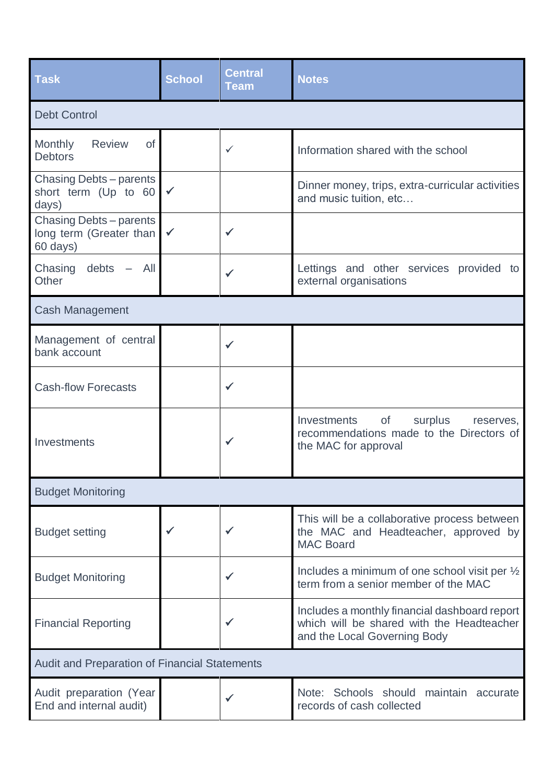| <b>Task</b>                                                    | <b>School</b> | <b>Central</b><br><b>Team</b> | <b>Notes</b>                                                                                                               |
|----------------------------------------------------------------|---------------|-------------------------------|----------------------------------------------------------------------------------------------------------------------------|
| <b>Debt Control</b>                                            |               |                               |                                                                                                                            |
| Monthly<br><b>Review</b><br><b>of</b><br><b>Debtors</b>        |               | ✓                             | Information shared with the school                                                                                         |
| Chasing Debts – parents<br>short term (Up to 60<br>days)       | $\checkmark$  |                               | Dinner money, trips, extra-curricular activities<br>and music tuition, etc                                                 |
| Chasing Debts – parents<br>long term (Greater than<br>60 days) |               | ✓                             |                                                                                                                            |
| Chasing debts -<br>All<br>Other                                |               | $\checkmark$                  | Lettings and other services provided to<br>external organisations                                                          |
| <b>Cash Management</b>                                         |               |                               |                                                                                                                            |
| Management of central<br>bank account                          |               | $\checkmark$                  |                                                                                                                            |
| <b>Cash-flow Forecasts</b>                                     |               | $\checkmark$                  |                                                                                                                            |
| Investments                                                    |               |                               | of<br>surplus<br><b>Investments</b><br>reserves,<br>recommendations made to the Directors of<br>the MAC for approval       |
| <b>Budget Monitoring</b>                                       |               |                               |                                                                                                                            |
| <b>Budget setting</b>                                          |               |                               | This will be a collaborative process between<br>the MAC and Headteacher, approved by<br><b>MAC Board</b>                   |
| <b>Budget Monitoring</b>                                       |               | ✓                             | Includes a minimum of one school visit per 1/2<br>term from a senior member of the MAC                                     |
| <b>Financial Reporting</b>                                     |               | ✓                             | Includes a monthly financial dashboard report<br>which will be shared with the Headteacher<br>and the Local Governing Body |
| <b>Audit and Preparation of Financial Statements</b>           |               |                               |                                                                                                                            |
| Audit preparation (Year<br>End and internal audit)             |               |                               | Note: Schools should maintain accurate<br>records of cash collected                                                        |